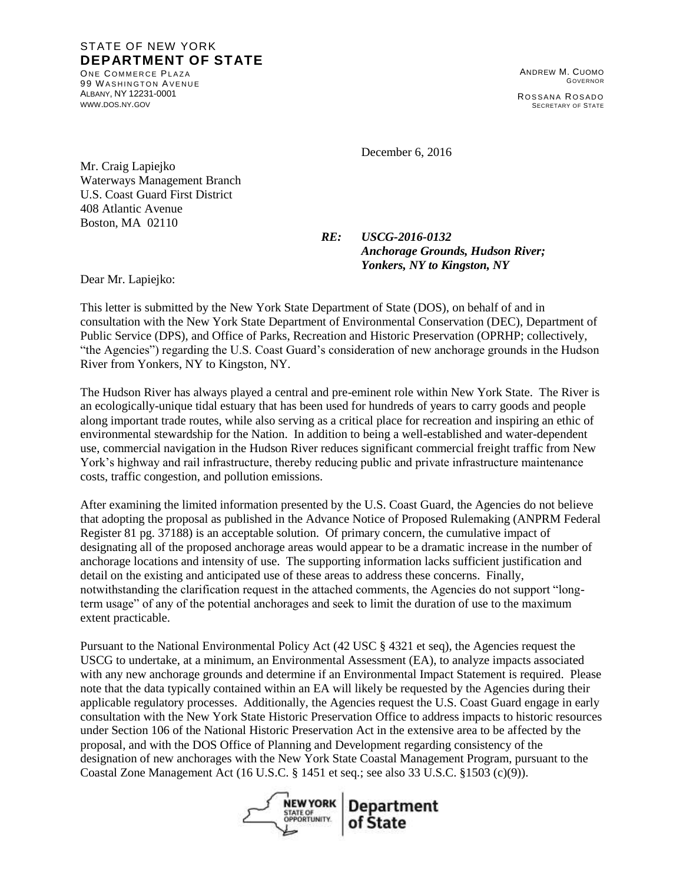## STATE OF NEW YORK **DEPARTMENT OF STATE**

ONE COMMERCE PLAZA 99 WASHINGTON AVENUE ALBANY, NY 12231-0001 [WWW](http://www.dos.ny.gov/).DOS.NY.GOV

ANDREW M. CUOMO GOVERNOR ROSSANA ROSADO SECRETARY OF STATE

December 6, 2016

Mr. Craig Lapiejko Waterways Management Branch U.S. Coast Guard First District 408 Atlantic Avenue Boston, MA 02110

> *RE: USCG-2016-0132 Anchorage Grounds, Hudson River; Yonkers, NY to Kingston, NY*

Dear Mr. Lapiejko:

This letter is submitted by the New York State Department of State (DOS), on behalf of and in consultation with the New York State Department of Environmental Conservation (DEC), Department of Public Service (DPS), and Office of Parks, Recreation and Historic Preservation (OPRHP; collectively, "the Agencies") regarding the U.S. Coast Guard's consideration of new anchorage grounds in the Hudson River from Yonkers, NY to Kingston, NY.

The Hudson River has always played a central and pre-eminent role within New York State. The River is an ecologically-unique tidal estuary that has been used for hundreds of years to carry goods and people along important trade routes, while also serving as a critical place for recreation and inspiring an ethic of environmental stewardship for the Nation. In addition to being a well-established and water-dependent use, commercial navigation in the Hudson River reduces significant commercial freight traffic from New York's highway and rail infrastructure, thereby reducing public and private infrastructure maintenance costs, traffic congestion, and pollution emissions.

After examining the limited information presented by the U.S. Coast Guard, the Agencies do not believe that adopting the proposal as published in the Advance Notice of Proposed Rulemaking (ANPRM Federal Register 81 pg. 37188) is an acceptable solution. Of primary concern, the cumulative impact of designating all of the proposed anchorage areas would appear to be a dramatic increase in the number of anchorage locations and intensity of use. The supporting information lacks sufficient justification and detail on the existing and anticipated use of these areas to address these concerns. Finally, notwithstanding the clarification request in the attached comments, the Agencies do not support "longterm usage" of any of the potential anchorages and seek to limit the duration of use to the maximum extent practicable.

Pursuant to the National Environmental Policy Act (42 USC § 4321 et seq), the Agencies request the USCG to undertake, at a minimum, an Environmental Assessment (EA), to analyze impacts associated with any new anchorage grounds and determine if an Environmental Impact Statement is required. Please note that the data typically contained within an EA will likely be requested by the Agencies during their applicable regulatory processes. Additionally, the Agencies request the U.S. Coast Guard engage in early consultation with the New York State Historic Preservation Office to address impacts to historic resources under Section 106 of the National Historic Preservation Act in the extensive area to be affected by the proposal, and with the DOS Office of Planning and Development regarding consistency of the designation of new anchorages with the New York State Coastal Management Program, pursuant to the Coastal Zone Management Act (16 U.S.C. § 1451 et seq.; see also 33 U.S.C. §1503 (c)(9)).

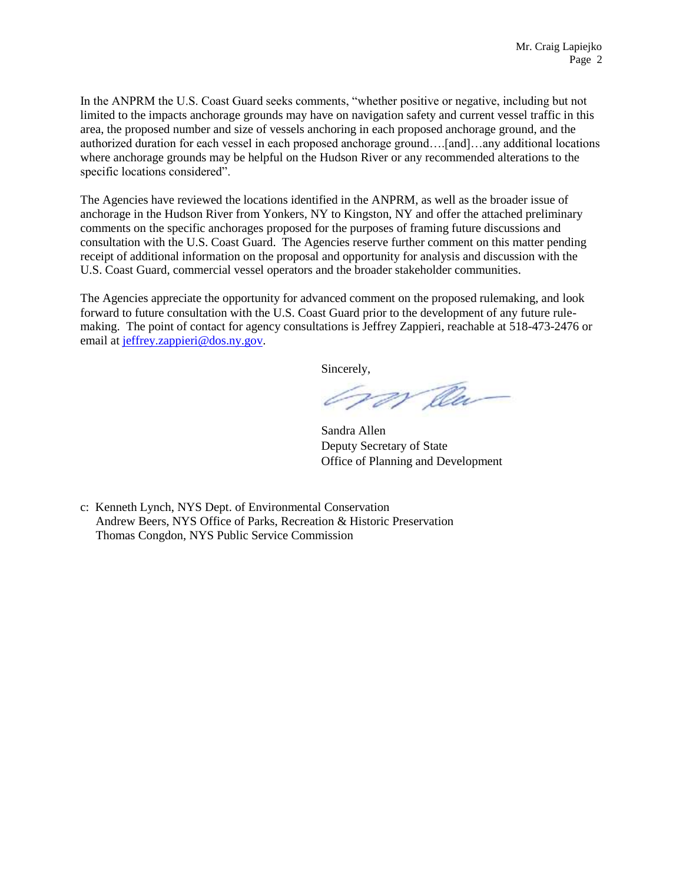In the ANPRM the U.S. Coast Guard seeks comments, "whether positive or negative, including but not limited to the impacts anchorage grounds may have on navigation safety and current vessel traffic in this area, the proposed number and size of vessels anchoring in each proposed anchorage ground, and the authorized duration for each vessel in each proposed anchorage ground….[and]…any additional locations where anchorage grounds may be helpful on the Hudson River or any recommended alterations to the specific locations considered".

The Agencies have reviewed the locations identified in the ANPRM, as well as the broader issue of anchorage in the Hudson River from Yonkers, NY to Kingston, NY and offer the attached preliminary comments on the specific anchorages proposed for the purposes of framing future discussions and consultation with the U.S. Coast Guard. The Agencies reserve further comment on this matter pending receipt of additional information on the proposal and opportunity for analysis and discussion with the U.S. Coast Guard, commercial vessel operators and the broader stakeholder communities.

The Agencies appreciate the opportunity for advanced comment on the proposed rulemaking, and look forward to future consultation with the U.S. Coast Guard prior to the development of any future rulemaking. The point of contact for agency consultations is Jeffrey Zappieri, reachable at 518-473-2476 or email at [jeffrey.zappieri@dos.ny.gov.](mailto:jeffrey.zappieri@dos.ny.gov)

Sincerely,

Om Clu

Sandra Allen Deputy Secretary of State Office of Planning and Development

c: Kenneth Lynch, NYS Dept. of Environmental Conservation Andrew Beers, NYS Office of Parks, Recreation & Historic Preservation Thomas Congdon, NYS Public Service Commission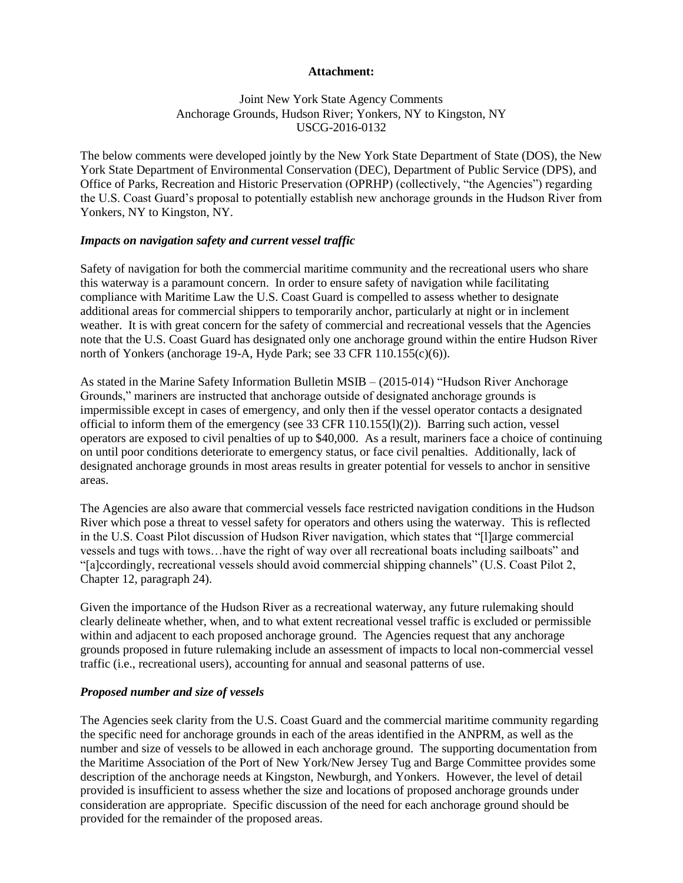#### **Attachment:**

## Joint New York State Agency Comments Anchorage Grounds, Hudson River; Yonkers, NY to Kingston, NY USCG-2016-0132

The below comments were developed jointly by the New York State Department of State (DOS), the New York State Department of Environmental Conservation (DEC), Department of Public Service (DPS), and Office of Parks, Recreation and Historic Preservation (OPRHP) (collectively, "the Agencies") regarding the U.S. Coast Guard's proposal to potentially establish new anchorage grounds in the Hudson River from Yonkers, NY to Kingston, NY.

#### *Impacts on navigation safety and current vessel traffic*

Safety of navigation for both the commercial maritime community and the recreational users who share this waterway is a paramount concern. In order to ensure safety of navigation while facilitating compliance with Maritime Law the U.S. Coast Guard is compelled to assess whether to designate additional areas for commercial shippers to temporarily anchor, particularly at night or in inclement weather. It is with great concern for the safety of commercial and recreational vessels that the Agencies note that the U.S. Coast Guard has designated only one anchorage ground within the entire Hudson River north of Yonkers (anchorage 19-A, Hyde Park; see 33 CFR 110.155(c)(6)).

As stated in the Marine Safety Information Bulletin MSIB – (2015-014) "Hudson River Anchorage Grounds," mariners are instructed that anchorage outside of designated anchorage grounds is impermissible except in cases of emergency, and only then if the vessel operator contacts a designated official to inform them of the emergency (see 33 CFR 110.155(l)(2)). Barring such action, vessel operators are exposed to civil penalties of up to \$40,000. As a result, mariners face a choice of continuing on until poor conditions deteriorate to emergency status, or face civil penalties. Additionally, lack of designated anchorage grounds in most areas results in greater potential for vessels to anchor in sensitive areas.

The Agencies are also aware that commercial vessels face restricted navigation conditions in the Hudson River which pose a threat to vessel safety for operators and others using the waterway. This is reflected in the U.S. Coast Pilot discussion of Hudson River navigation, which states that "[l]arge commercial vessels and tugs with tows…have the right of way over all recreational boats including sailboats" and "[a]ccordingly, recreational vessels should avoid commercial shipping channels" (U.S. Coast Pilot 2, Chapter 12, paragraph 24).

Given the importance of the Hudson River as a recreational waterway, any future rulemaking should clearly delineate whether, when, and to what extent recreational vessel traffic is excluded or permissible within and adjacent to each proposed anchorage ground. The Agencies request that any anchorage grounds proposed in future rulemaking include an assessment of impacts to local non-commercial vessel traffic (i.e., recreational users), accounting for annual and seasonal patterns of use.

#### *Proposed number and size of vessels*

The Agencies seek clarity from the U.S. Coast Guard and the commercial maritime community regarding the specific need for anchorage grounds in each of the areas identified in the ANPRM, as well as the number and size of vessels to be allowed in each anchorage ground. The supporting documentation from the Maritime Association of the Port of New York/New Jersey Tug and Barge Committee provides some description of the anchorage needs at Kingston, Newburgh, and Yonkers. However, the level of detail provided is insufficient to assess whether the size and locations of proposed anchorage grounds under consideration are appropriate. Specific discussion of the need for each anchorage ground should be provided for the remainder of the proposed areas.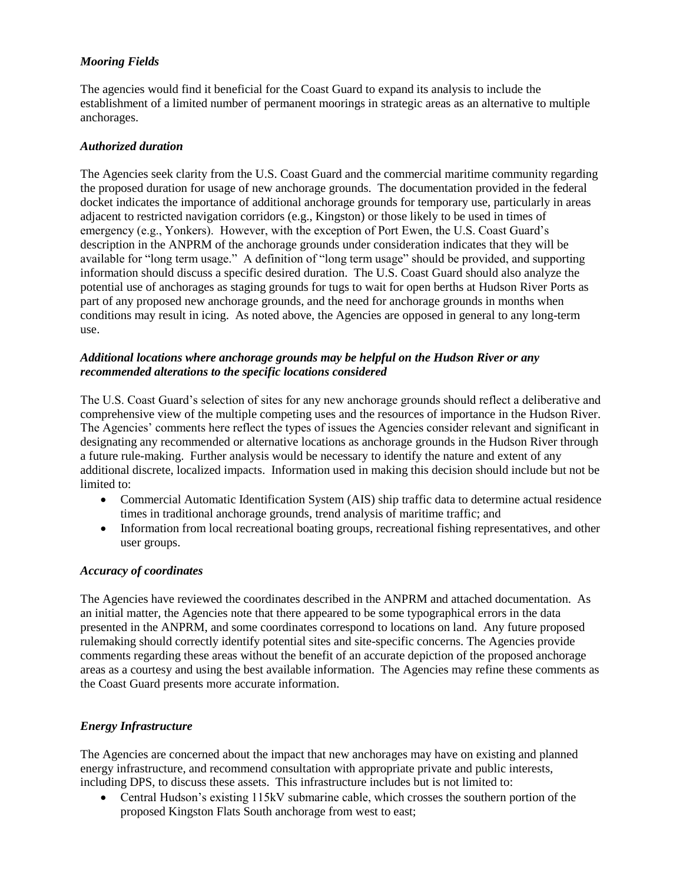# *Mooring Fields*

The agencies would find it beneficial for the Coast Guard to expand its analysis to include the establishment of a limited number of permanent moorings in strategic areas as an alternative to multiple anchorages.

## *Authorized duration*

The Agencies seek clarity from the U.S. Coast Guard and the commercial maritime community regarding the proposed duration for usage of new anchorage grounds. The documentation provided in the federal docket indicates the importance of additional anchorage grounds for temporary use, particularly in areas adjacent to restricted navigation corridors (e.g., Kingston) or those likely to be used in times of emergency (e.g., Yonkers). However, with the exception of Port Ewen, the U.S. Coast Guard's description in the ANPRM of the anchorage grounds under consideration indicates that they will be available for "long term usage." A definition of "long term usage" should be provided, and supporting information should discuss a specific desired duration. The U.S. Coast Guard should also analyze the potential use of anchorages as staging grounds for tugs to wait for open berths at Hudson River Ports as part of any proposed new anchorage grounds, and the need for anchorage grounds in months when conditions may result in icing. As noted above, the Agencies are opposed in general to any long-term use.

## *Additional locations where anchorage grounds may be helpful on the Hudson River or any recommended alterations to the specific locations considered*

The U.S. Coast Guard's selection of sites for any new anchorage grounds should reflect a deliberative and comprehensive view of the multiple competing uses and the resources of importance in the Hudson River. The Agencies' comments here reflect the types of issues the Agencies consider relevant and significant in designating any recommended or alternative locations as anchorage grounds in the Hudson River through a future rule-making. Further analysis would be necessary to identify the nature and extent of any additional discrete, localized impacts. Information used in making this decision should include but not be limited to:

- Commercial Automatic Identification System (AIS) ship traffic data to determine actual residence times in traditional anchorage grounds, trend analysis of maritime traffic; and
- Information from local recreational boating groups, recreational fishing representatives, and other user groups.

# *Accuracy of coordinates*

The Agencies have reviewed the coordinates described in the ANPRM and attached documentation. As an initial matter, the Agencies note that there appeared to be some typographical errors in the data presented in the ANPRM, and some coordinates correspond to locations on land. Any future proposed rulemaking should correctly identify potential sites and site-specific concerns. The Agencies provide comments regarding these areas without the benefit of an accurate depiction of the proposed anchorage areas as a courtesy and using the best available information. The Agencies may refine these comments as the Coast Guard presents more accurate information.

# *Energy Infrastructure*

The Agencies are concerned about the impact that new anchorages may have on existing and planned energy infrastructure, and recommend consultation with appropriate private and public interests, including DPS, to discuss these assets. This infrastructure includes but is not limited to:

 Central Hudson's existing 115kV submarine cable, which crosses the southern portion of the proposed Kingston Flats South anchorage from west to east;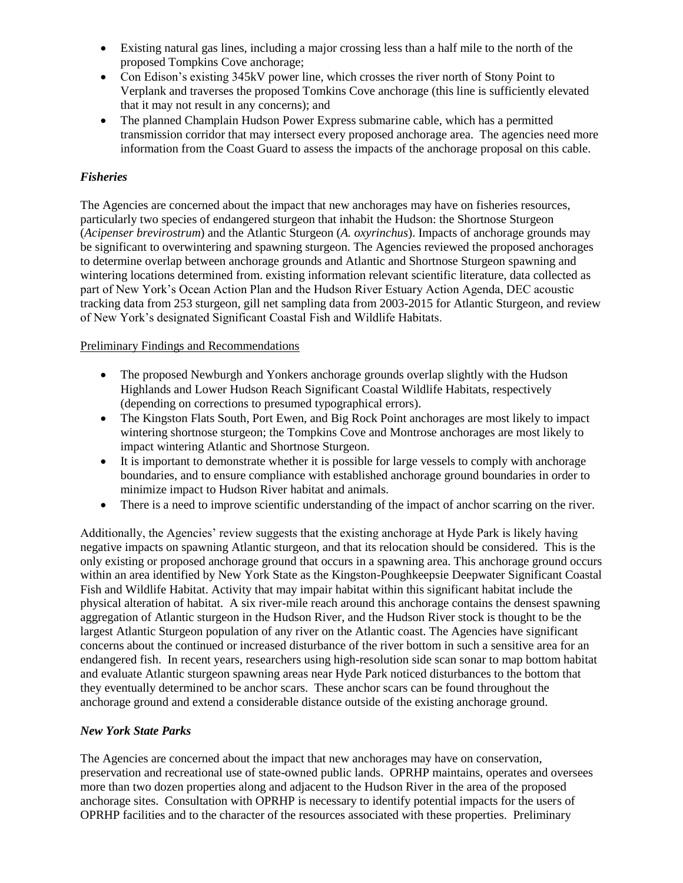- Existing natural gas lines, including a major crossing less than a half mile to the north of the proposed Tompkins Cove anchorage;
- Con Edison's existing 345kV power line, which crosses the river north of Stony Point to Verplank and traverses the proposed Tomkins Cove anchorage (this line is sufficiently elevated that it may not result in any concerns); and
- The planned Champlain Hudson Power Express submarine cable, which has a permitted transmission corridor that may intersect every proposed anchorage area. The agencies need more information from the Coast Guard to assess the impacts of the anchorage proposal on this cable.

# *Fisheries*

The Agencies are concerned about the impact that new anchorages may have on fisheries resources, particularly two species of endangered sturgeon that inhabit the Hudson: the Shortnose Sturgeon (*Acipenser brevirostrum*) and the Atlantic Sturgeon (*A. oxyrinchus*). Impacts of anchorage grounds may be significant to overwintering and spawning sturgeon. The Agencies reviewed the proposed anchorages to determine overlap between anchorage grounds and Atlantic and Shortnose Sturgeon spawning and wintering locations determined from. existing information relevant scientific literature, data collected as part of New York's Ocean Action Plan and the Hudson River Estuary Action Agenda, DEC acoustic tracking data from 253 sturgeon, gill net sampling data from 2003-2015 for Atlantic Sturgeon, and review of New York's designated Significant Coastal Fish and Wildlife Habitats.

# Preliminary Findings and Recommendations

- The proposed Newburgh and Yonkers anchorage grounds overlap slightly with the Hudson Highlands and Lower Hudson Reach Significant Coastal Wildlife Habitats, respectively (depending on corrections to presumed typographical errors).
- The Kingston Flats South, Port Ewen, and Big Rock Point anchorages are most likely to impact wintering shortnose sturgeon; the Tompkins Cove and Montrose anchorages are most likely to impact wintering Atlantic and Shortnose Sturgeon.
- It is important to demonstrate whether it is possible for large vessels to comply with anchorage boundaries, and to ensure compliance with established anchorage ground boundaries in order to minimize impact to Hudson River habitat and animals.
- There is a need to improve scientific understanding of the impact of anchor scarring on the river.

Additionally, the Agencies' review suggests that the existing anchorage at Hyde Park is likely having negative impacts on spawning Atlantic sturgeon, and that its relocation should be considered. This is the only existing or proposed anchorage ground that occurs in a spawning area. This anchorage ground occurs within an area identified by New York State as the Kingston-Poughkeepsie Deepwater Significant Coastal Fish and Wildlife Habitat. Activity that may impair habitat within this significant habitat include the physical alteration of habitat. A six river-mile reach around this anchorage contains the densest spawning aggregation of Atlantic sturgeon in the Hudson River, and the Hudson River stock is thought to be the largest Atlantic Sturgeon population of any river on the Atlantic coast. The Agencies have significant concerns about the continued or increased disturbance of the river bottom in such a sensitive area for an endangered fish. In recent years, researchers using high-resolution side scan sonar to map bottom habitat and evaluate Atlantic sturgeon spawning areas near Hyde Park noticed disturbances to the bottom that they eventually determined to be anchor scars. These anchor scars can be found throughout the anchorage ground and extend a considerable distance outside of the existing anchorage ground.

#### *New York State Parks*

The Agencies are concerned about the impact that new anchorages may have on conservation, preservation and recreational use of state-owned public lands. OPRHP maintains, operates and oversees more than two dozen properties along and adjacent to the Hudson River in the area of the proposed anchorage sites. Consultation with OPRHP is necessary to identify potential impacts for the users of OPRHP facilities and to the character of the resources associated with these properties. Preliminary